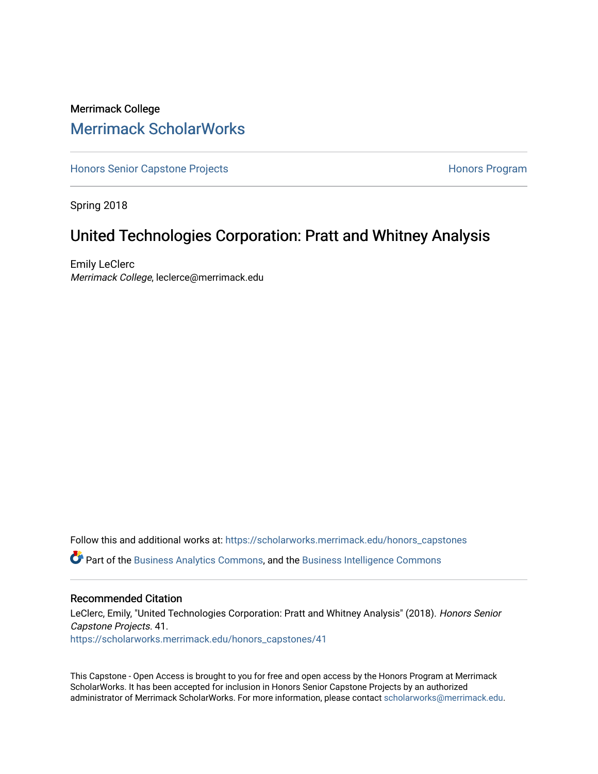#### Merrimack College [Merrimack ScholarWorks](https://scholarworks.merrimack.edu/)

[Honors Senior Capstone Projects](https://scholarworks.merrimack.edu/honors_capstones) **Honors Program** Honors Program

Spring 2018

#### United Technologies Corporation: Pratt and Whitney Analysis

Emily LeClerc Merrimack College, leclerce@merrimack.edu

Follow this and additional works at: [https://scholarworks.merrimack.edu/honors\\_capstones](https://scholarworks.merrimack.edu/honors_capstones?utm_source=scholarworks.merrimack.edu%2Fhonors_capstones%2F41&utm_medium=PDF&utm_campaign=PDFCoverPages) Part of the [Business Analytics Commons](http://network.bepress.com/hgg/discipline/1398?utm_source=scholarworks.merrimack.edu%2Fhonors_capstones%2F41&utm_medium=PDF&utm_campaign=PDFCoverPages), and the [Business Intelligence Commons](http://network.bepress.com/hgg/discipline/1326?utm_source=scholarworks.merrimack.edu%2Fhonors_capstones%2F41&utm_medium=PDF&utm_campaign=PDFCoverPages)

#### Recommended Citation

LeClerc, Emily, "United Technologies Corporation: Pratt and Whitney Analysis" (2018). Honors Senior Capstone Projects. 41. [https://scholarworks.merrimack.edu/honors\\_capstones/41](https://scholarworks.merrimack.edu/honors_capstones/41?utm_source=scholarworks.merrimack.edu%2Fhonors_capstones%2F41&utm_medium=PDF&utm_campaign=PDFCoverPages) 

This Capstone - Open Access is brought to you for free and open access by the Honors Program at Merrimack ScholarWorks. It has been accepted for inclusion in Honors Senior Capstone Projects by an authorized administrator of Merrimack ScholarWorks. For more information, please contact [scholarworks@merrimack.edu](mailto:scholarworks@merrimack.edu).